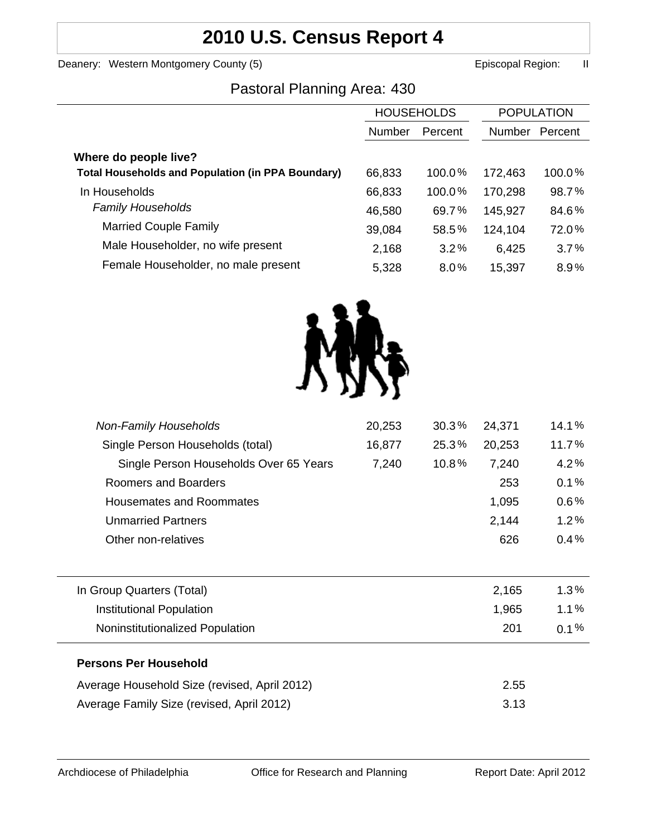# **2010 U.S. Census Report 4**

Deanery: Western Montgomery County (5) earned the control of the Episcopal Region: II

## Pastoral Planning Area: 430

|                                                          | <b>HOUSEHOLDS</b> |           | <b>POPULATION</b> |         |
|----------------------------------------------------------|-------------------|-----------|-------------------|---------|
|                                                          | Number            | Percent   | Number            | Percent |
| Where do people live?                                    |                   |           |                   |         |
| <b>Total Households and Population (in PPA Boundary)</b> | 66,833            | $100.0\%$ | 172,463           | 100.0%  |
| In Households                                            | 66,833            | $100.0\%$ | 170,298           | 98.7%   |
| <b>Family Households</b>                                 | 46,580            | 69.7%     | 145,927           | 84.6%   |
| <b>Married Couple Family</b>                             | 39,084            | 58.5%     | 124,104           | 72.0%   |
| Male Householder, no wife present                        | 2,168             | 3.2%      | 6,425             | 3.7%    |
| Female Householder, no male present                      | 5,328             | $8.0\%$   | 15,397            | 8.9%    |



| 20,253 | 30.3% | 24,371 | 14.1%   |
|--------|-------|--------|---------|
| 16,877 | 25.3% | 20,253 | 11.7%   |
| 7,240  | 10.8% | 7,240  | 4.2%    |
|        |       | 253    | 0.1%    |
|        |       | 1,095  | 0.6%    |
|        |       | 2,144  | 1.2%    |
|        |       | 626    | 0.4%    |
|        |       |        |         |
|        |       | 2,165  | 1.3%    |
|        |       | 1,965  | 1.1%    |
|        |       | 201    | $0.1\%$ |
|        |       |        |         |
|        |       | 2.55   |         |
|        |       | 3.13   |         |
|        |       |        |         |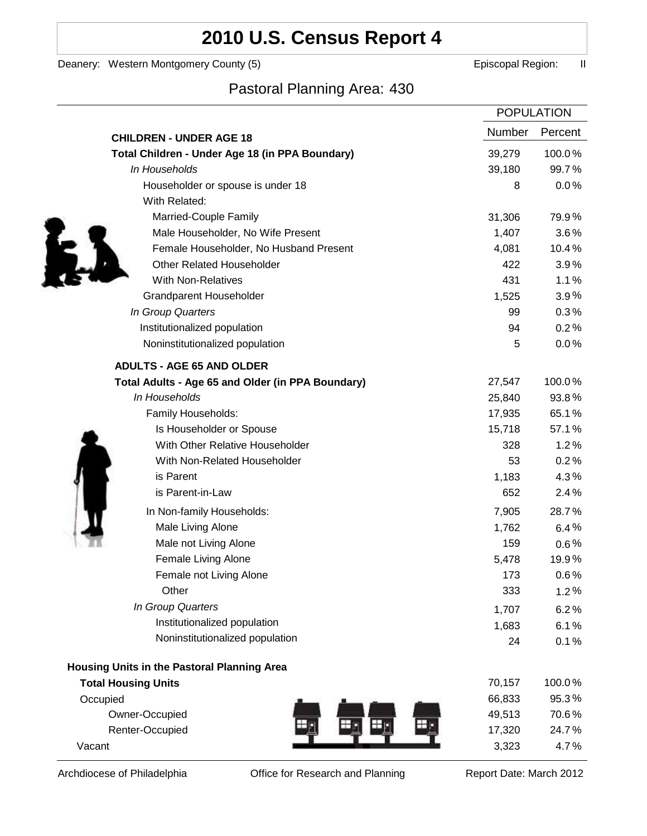# **2010 U.S. Census Report 4**

Deanery: Western Montgomery County (5) earned the control of the Episcopal Region: II

### Pastoral Planning Area: 430

|                                                   |        | <b>POPULATION</b> |
|---------------------------------------------------|--------|-------------------|
| <b>CHILDREN - UNDER AGE 18</b>                    | Number | Percent           |
| Total Children - Under Age 18 (in PPA Boundary)   | 39,279 | 100.0%            |
| In Households                                     | 39,180 | 99.7%             |
| Householder or spouse is under 18                 | 8      | 0.0%              |
| With Related:                                     |        |                   |
| Married-Couple Family                             | 31,306 | 79.9%             |
| Male Householder, No Wife Present                 | 1,407  | 3.6%              |
| Female Householder, No Husband Present            | 4,081  | 10.4%             |
| <b>Other Related Householder</b>                  | 422    | 3.9%              |
| <b>With Non-Relatives</b>                         | 431    | 1.1%              |
| <b>Grandparent Householder</b>                    | 1,525  | $3.9\%$           |
| In Group Quarters                                 | 99     | 0.3%              |
| Institutionalized population                      | 94     | 0.2%              |
| Noninstitutionalized population                   | 5      | 0.0%              |
| <b>ADULTS - AGE 65 AND OLDER</b>                  |        |                   |
| Total Adults - Age 65 and Older (in PPA Boundary) | 27,547 | 100.0%            |
| In Households                                     | 25,840 | 93.8%             |
| Family Households:                                | 17,935 | 65.1%             |
| Is Householder or Spouse                          | 15,718 | 57.1%             |
| With Other Relative Householder                   | 328    | 1.2%              |
| With Non-Related Householder                      | 53     | 0.2%              |
| is Parent                                         | 1,183  | 4.3%              |
| is Parent-in-Law                                  | 652    | 2.4%              |
| In Non-family Households:                         | 7,905  | 28.7%             |
| Male Living Alone                                 | 1,762  | 6.4%              |
| Male not Living Alone                             | 159    | $0.6\%$           |
| Female Living Alone                               | 5,478  | 19.9%             |
| Female not Living Alone                           | 173    | 0.6%              |
| Other                                             | 333    | 1.2%              |
| In Group Quarters                                 | 1,707  | 6.2%              |
| Institutionalized population                      | 1,683  | 6.1%              |
| Noninstitutionalized population                   | 24     | 0.1%              |
| Housing Units in the Pastoral Planning Area       |        |                   |
| <b>Total Housing Units</b>                        | 70,157 | 100.0%            |
| Occupied                                          | 66,833 | 95.3%             |
| Owner-Occupied                                    | 49,513 | 70.6%             |
| Renter-Occupied                                   | 17,320 | 24.7%             |
| Vacant                                            | 3,323  | 4.7%              |

Archdiocese of Philadelphia **Office for Research and Planning** Report Date: March 2012